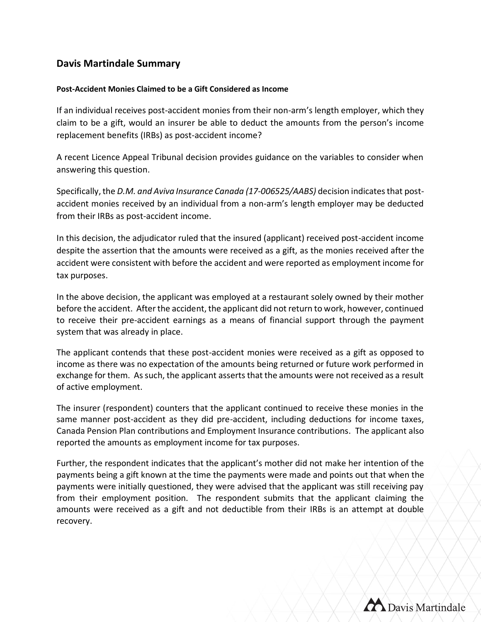## **Davis Martindale Summary**

## **Post-Accident Monies Claimed to be a Gift Considered as Income**

If an individual receives post-accident monies from their non-arm's length employer, which they claim to be a gift, would an insurer be able to deduct the amounts from the person's income replacement benefits (IRBs) as post-accident income?

A recent Licence Appeal Tribunal decision provides guidance on the variables to consider when answering this question.

Specifically, the *D.M. and Aviva Insurance Canada (17-006525/AABS)* decision indicates that postaccident monies received by an individual from a non-arm's length employer may be deducted from their IRBs as post-accident income.

In this decision, the adjudicator ruled that the insured (applicant) received post-accident income despite the assertion that the amounts were received as a gift, as the monies received after the accident were consistent with before the accident and were reported as employment income for tax purposes.

In the above decision, the applicant was employed at a restaurant solely owned by their mother before the accident. After the accident, the applicant did not return to work, however, continued to receive their pre-accident earnings as a means of financial support through the payment system that was already in place.

The applicant contends that these post-accident monies were received as a gift as opposed to income as there was no expectation of the amounts being returned or future work performed in exchange for them. As such, the applicant asserts that the amounts were not received as a result of active employment.

The insurer (respondent) counters that the applicant continued to receive these monies in the same manner post-accident as they did pre-accident, including deductions for income taxes, Canada Pension Plan contributions and Employment Insurance contributions. The applicant also reported the amounts as employment income for tax purposes.

Further, the respondent indicates that the applicant's mother did not make her intention of the payments being a gift known at the time the payments were made and points out that when the payments were initially questioned, they were advised that the applicant was still receiving pay from their employment position. The respondent submits that the applicant claiming the amounts were received as a gift and not deductible from their IRBs is an attempt at double recovery.